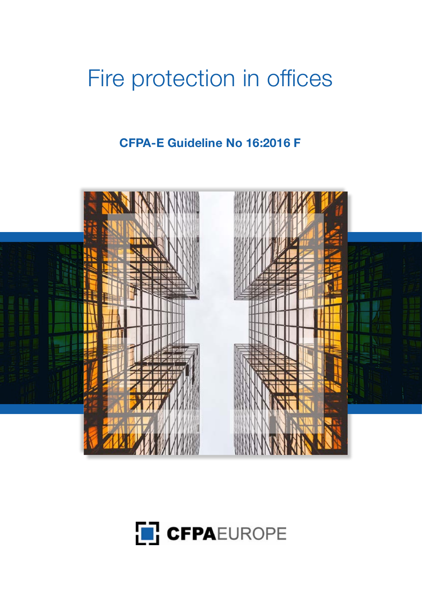# Fire protection in offices

**CFPA-E Guideline No 16:2016 F**





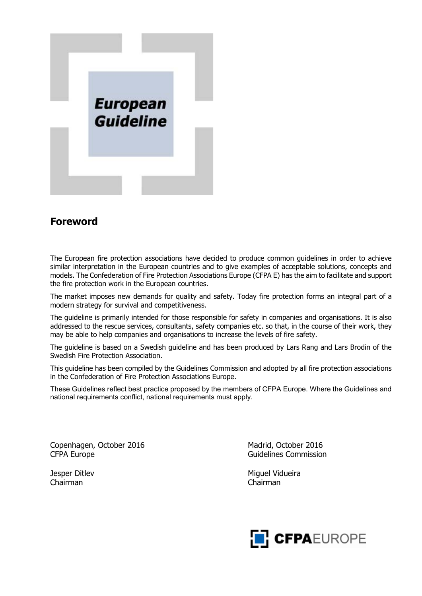

## **Foreword**

The European fire protection associations have decided to produce common guidelines in order to achieve similar interpretation in the European countries and to give examples of acceptable solutions, concepts and models. The Confederation of Fire Protection Associations Europe (CFPA E) has the aim to facilitate and support the fire protection work in the European countries.

The market imposes new demands for quality and safety. Today fire protection forms an integral part of a modern strategy for survival and competitiveness.

The guideline is primarily intended for those responsible for safety in companies and organisations. It is also addressed to the rescue services, consultants, safety companies etc. so that, in the course of their work, they may be able to help companies and organisations to increase the levels of fire safety.

The guideline is based on a Swedish guideline and has been produced by Lars Rang and Lars Brodin of the Swedish Fire Protection Association.

This guideline has been compiled by the Guidelines Commission and adopted by all fire protection associations in the Confederation of Fire Protection Associations Europe.

These Guidelines reflect best practice proposed by the members of CFPA Europe. Where the Guidelines and national requirements conflict, national requirements must apply.

Copenhagen, October 2016 Madrid, October 2016 CFPA Europe Guidelines Commission

Chairman Chairman

Jesper Ditlev Miguel Vidueira

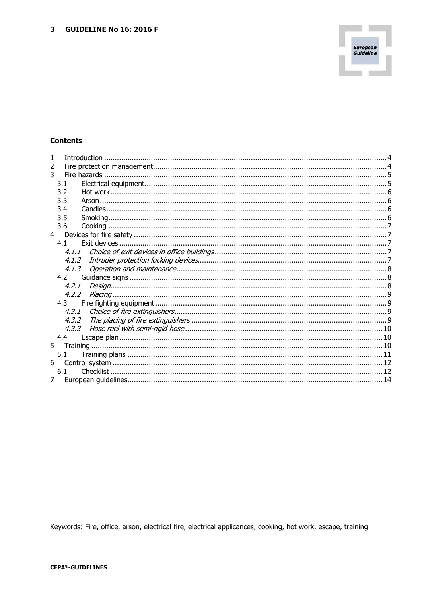

#### **Contents**

| 1              |         |  |
|----------------|---------|--|
| 2              |         |  |
| 3              |         |  |
|                | 3.1     |  |
|                | 3.2     |  |
|                | 3.3     |  |
|                | 3.4     |  |
|                | 3.5     |  |
|                | 3.6     |  |
|                |         |  |
|                | 4.1     |  |
|                |         |  |
|                | 4.1.2   |  |
|                |         |  |
|                | 4.2     |  |
|                |         |  |
|                |         |  |
|                | 4.3     |  |
|                |         |  |
|                | 4, 3, 2 |  |
|                | 4, 3, 3 |  |
|                | 4.4     |  |
| 5 <sup>7</sup> |         |  |
|                | 5.1     |  |
|                |         |  |
|                | 6.1     |  |
|                |         |  |

Keywords: Fire, office, arson, electrical fire, electrical applicances, cooking, hot work, escape, training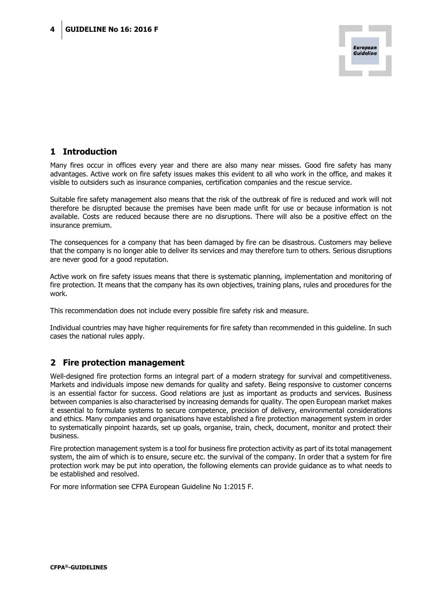

## <span id="page-3-0"></span>**1 Introduction**

Many fires occur in offices every year and there are also many near misses. Good fire safety has many advantages. Active work on fire safety issues makes this evident to all who work in the office, and makes it visible to outsiders such as insurance companies, certification companies and the rescue service.

Suitable fire safety management also means that the risk of the outbreak of fire is reduced and work will not therefore be disrupted because the premises have been made unfit for use or because information is not available. Costs are reduced because there are no disruptions. There will also be a positive effect on the insurance premium.

The consequences for a company that has been damaged by fire can be disastrous. Customers may believe that the company is no longer able to deliver its services and may therefore turn to others. Serious disruptions are never good for a good reputation.

Active work on fire safety issues means that there is systematic planning, implementation and monitoring of fire protection. It means that the company has its own objectives, training plans, rules and procedures for the work.

This recommendation does not include every possible fire safety risk and measure.

<span id="page-3-1"></span>Individual countries may have higher requirements for fire safety than recommended in this guideline. In such cases the national rules apply.

#### **2 Fire protection management**

Well-designed fire protection forms an integral part of a modern strategy for survival and competitiveness. Markets and individuals impose new demands for quality and safety. Being responsive to customer concerns is an essential factor for success. Good relations are just as important as products and services. Business between companies is also characterised by increasing demands for quality. The open European market makes it essential to formulate systems to secure competence, precision of delivery, environmental considerations and ethics. Many companies and organisations have established a fire protection management system in order to systematically pinpoint hazards, set up goals, organise, train, check, document, monitor and protect their business.

Fire protection management system is a tool for business fire protection activity as part of its total management system, the aim of which is to ensure, secure etc. the survival of the company. In order that a system for fire protection work may be put into operation, the following elements can provide guidance as to what needs to be established and resolved.

For more information see CFPA European Guideline No 1:2015 F.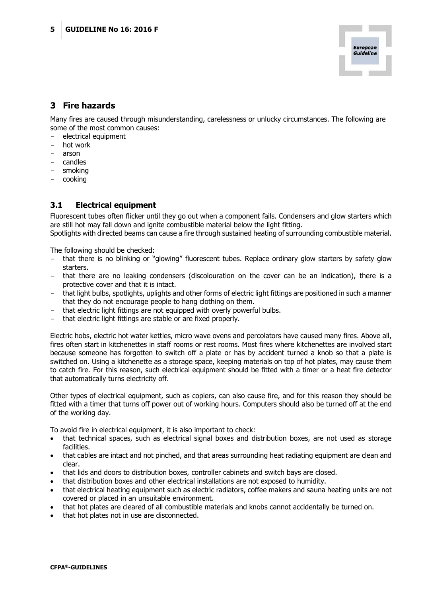## <span id="page-4-0"></span>**3 Fire hazards**

Many fires are caused through misunderstanding, carelessness or unlucky circumstances. The following are some of the most common causes:

- electrical equipment
- hot work
- arson
- candles
- smoking
- <span id="page-4-1"></span>cooking

#### **3.1 Electrical equipment**

Fluorescent tubes often flicker until they go out when a component fails. Condensers and glow starters which are still hot may fall down and ignite combustible material below the light fitting.

Spotlights with directed beams can cause a fire through sustained heating of surrounding combustible material.

The following should be checked:

- that there is no blinking or "glowing" fluorescent tubes. Replace ordinary glow starters by safety glow starters.
- that there are no leaking condensers (discolouration on the cover can be an indication), there is a protective cover and that it is intact.
- that light bulbs, spotlights, uplights and other forms of electric light fittings are positioned in such a manner that they do not encourage people to hang clothing on them.
- that electric light fittings are not equipped with overly powerful bulbs.
- that electric light fittings are stable or are fixed properly.

Electric hobs, electric hot water kettles, micro wave ovens and percolators have caused many fires. Above all, fires often start in kitchenettes in staff rooms or rest rooms. Most fires where kitchenettes are involved start because someone has forgotten to switch off a plate or has by accident turned a knob so that a plate is switched on. Using a kitchenette as a storage space, keeping materials on top of hot plates, may cause them to catch fire. For this reason, such electrical equipment should be fitted with a timer or a heat fire detector that automatically turns electricity off.

Other types of electrical equipment, such as copiers, can also cause fire, and for this reason they should be fitted with a timer that turns off power out of working hours. Computers should also be turned off at the end of the working day.

To avoid fire in electrical equipment, it is also important to check:

- that technical spaces, such as electrical signal boxes and distribution boxes, are not used as storage facilities.
- that cables are intact and not pinched, and that areas surrounding heat radiating equipment are clean and clear.
- that lids and doors to distribution boxes, controller cabinets and switch bays are closed.
- that distribution boxes and other electrical installations are not exposed to humidity.
- that electrical heating equipment such as electric radiators, coffee makers and sauna heating units are not covered or placed in an unsuitable environment.
- that hot plates are cleared of all combustible materials and knobs cannot accidentally be turned on.
- that hot plates not in use are disconnected.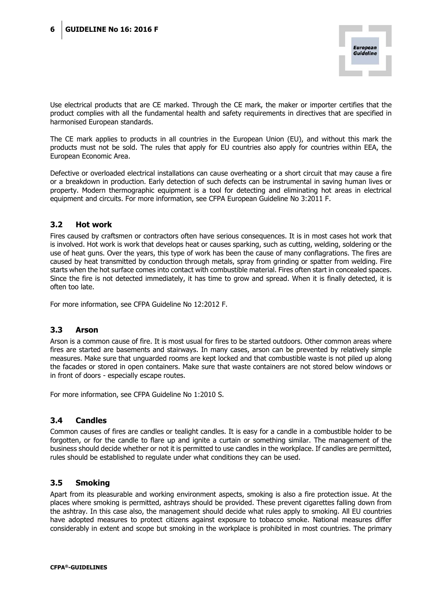Use electrical products that are CE marked. Through the CE mark, the maker or importer certifies that the product complies with all the fundamental health and safety requirements in directives that are specified in harmonised European standards.

The CE mark applies to products in all countries in the European Union (EU), and without this mark the products must not be sold. The rules that apply for EU countries also apply for countries within EEA, the European Economic Area.

Defective or overloaded electrical installations can cause overheating or a short circuit that may cause a fire or a breakdown in production. Early detection of such defects can be instrumental in saving human lives or property. Modern thermographic equipment is a tool for detecting and eliminating hot areas in electrical equipment and circuits. For more information, see CFPA European Guideline No 3:2011 F.

#### <span id="page-5-0"></span>**3.2 Hot work**

Fires caused by craftsmen or contractors often have serious consequences. It is in most cases hot work that is involved. Hot work is work that develops heat or causes sparking, such as cutting, welding, soldering or the use of heat guns. Over the years, this type of work has been the cause of many conflagrations. The fires are caused by heat transmitted by conduction through metals, spray from grinding or spatter from welding. Fire starts when the hot surface comes into contact with combustible material. Fires often start in concealed spaces. Since the fire is not detected immediately, it has time to grow and spread. When it is finally detected, it is often too late.

<span id="page-5-1"></span>For more information, see CFPA Guideline No 12:2012 F.

#### **3.3 Arson**

Arson is a common cause of fire. It is most usual for fires to be started outdoors. Other common areas where fires are started are basements and stairways. In many cases, arson can be prevented by relatively simple measures. Make sure that unguarded rooms are kept locked and that combustible waste is not piled up along the facades or stored in open containers. Make sure that waste containers are not stored below windows or in front of doors - especially escape routes.

<span id="page-5-2"></span>For more information, see CFPA Guideline No 1:2010 S.

#### **3.4 Candles**

Common causes of fires are candles or tealight candles. It is easy for a candle in a combustible holder to be forgotten, or for the candle to flare up and ignite a curtain or something similar. The management of the business should decide whether or not it is permitted to use candles in the workplace. If candles are permitted, rules should be established to regulate under what conditions they can be used.

#### <span id="page-5-3"></span>**3.5 Smoking**

Apart from its pleasurable and working environment aspects, smoking is also a fire protection issue. At the places where smoking is permitted, ashtrays should be provided. These prevent cigarettes falling down from the ashtray. In this case also, the management should decide what rules apply to smoking. All EU countries have adopted measures to protect citizens against exposure to tobacco smoke. National measures differ considerably in extent and scope but smoking in the workplace is prohibited in most countries. The primary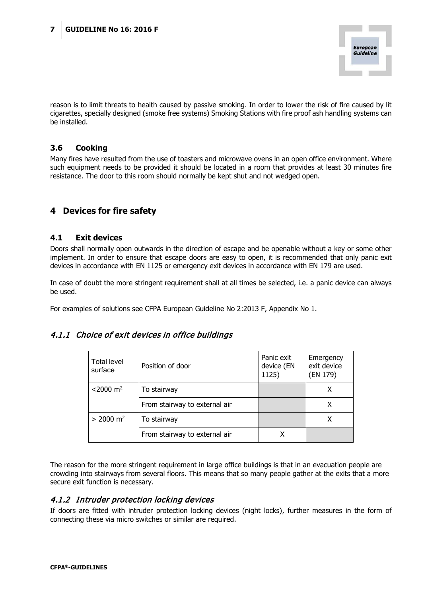reason is to limit threats to health caused by passive smoking. In order to lower the risk of fire caused by lit cigarettes, specially designed (smoke free systems) Smoking Stations with fire proof ash handling systems can be installed.

#### <span id="page-6-0"></span>**3.6 Cooking**

Many fires have resulted from the use of toasters and microwave ovens in an open office environment. Where such equipment needs to be provided it should be located in a room that provides at least 30 minutes fire resistance. The door to this room should normally be kept shut and not wedged open.

## <span id="page-6-1"></span>**4 Devices for fire safety**

#### <span id="page-6-2"></span>**4.1 Exit devices**

Doors shall normally open outwards in the direction of escape and be openable without a key or some other implement. In order to ensure that escape doors are easy to open, it is recommended that only panic exit devices in accordance with EN 1125 or emergency exit devices in accordance with EN 179 are used.

In case of doubt the more stringent requirement shall at all times be selected, i.e. a panic device can always be used.

For examples of solutions see CFPA European Guideline No 2:2013 F, Appendix No 1.

#### <span id="page-6-3"></span>4.1.1 Choice of exit devices in office buildings

| Total level<br>surface  | Position of door              | Panic exit<br>device (EN<br>1125) | Emergency<br>exit device<br>(EN 179) |
|-------------------------|-------------------------------|-----------------------------------|--------------------------------------|
| $<$ 2000 m <sup>2</sup> | To stairway                   |                                   | х                                    |
|                         | From stairway to external air |                                   | х                                    |
| $> 2000 \text{ m}^2$    | To stairway                   |                                   |                                      |
|                         | From stairway to external air |                                   |                                      |

The reason for the more stringent requirement in large office buildings is that in an evacuation people are crowding into stairways from several floors. This means that so many people gather at the exits that a more secure exit function is necessary.

#### <span id="page-6-4"></span>4.1.2 Intruder protection locking devices

If doors are fitted with intruder protection locking devices (night locks), further measures in the form of connecting these via micro switches or similar are required.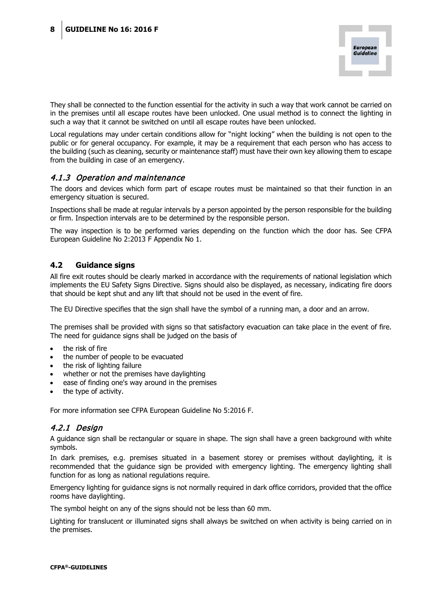They shall be connected to the function essential for the activity in such a way that work cannot be carried on in the premises until all escape routes have been unlocked. One usual method is to connect the lighting in such a way that it cannot be switched on until all escape routes have been unlocked.

Local regulations may under certain conditions allow for "night locking" when the building is not open to the public or for general occupancy. For example, it may be a requirement that each person who has access to the building (such as cleaning, security or maintenance staff) must have their own key allowing them to escape from the building in case of an emergency.

#### <span id="page-7-0"></span>4.1.3 Operation and maintenance

The doors and devices which form part of escape routes must be maintained so that their function in an emergency situation is secured.

Inspections shall be made at regular intervals by a person appointed by the person responsible for the building or firm. Inspection intervals are to be determined by the responsible person.

The way inspection is to be performed varies depending on the function which the door has. See CFPA European Guideline No 2:2013 F Appendix No 1.

#### <span id="page-7-1"></span>**4.2 Guidance signs**

All fire exit routes should be clearly marked in accordance with the requirements of national legislation which implements the EU Safety Signs Directive. Signs should also be displayed, as necessary, indicating fire doors that should be kept shut and any lift that should not be used in the event of fire.

The EU Directive specifies that the sign shall have the symbol of a running man, a door and an arrow.

The premises shall be provided with signs so that satisfactory evacuation can take place in the event of fire. The need for guidance signs shall be judged on the basis of

- the risk of fire
- the number of people to be evacuated
- the risk of lighting failure
- whether or not the premises have daylighting
- ease of finding one's way around in the premises
- the type of activity.

For more information see CFPA European Guideline No 5:2016 F.

#### <span id="page-7-2"></span>4.2.1 Design

A guidance sign shall be rectangular or square in shape. The sign shall have a green background with white symbols.

In dark premises, e.g. premises situated in a basement storey or premises without daylighting, it is recommended that the guidance sign be provided with emergency lighting. The emergency lighting shall function for as long as national regulations require.

Emergency lighting for guidance signs is not normally required in dark office corridors, provided that the office rooms have daylighting.

The symbol height on any of the signs should not be less than 60 mm.

Lighting for translucent or illuminated signs shall always be switched on when activity is being carried on in the premises.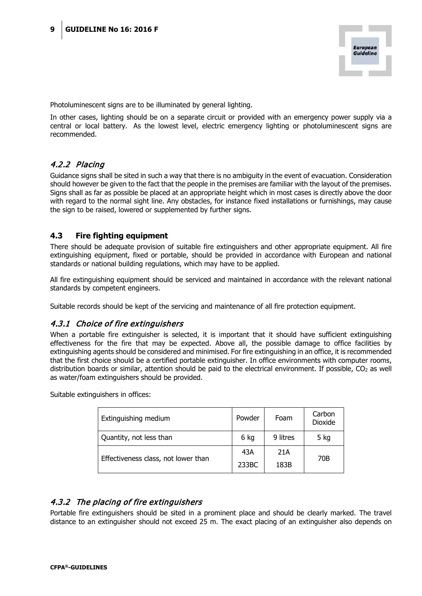

Photoluminescent signs are to be illuminated by general lighting.

In other cases, lighting should be on a separate circuit or provided with an emergency power supply via a central or local battery. As the lowest level, electric emergency lighting or photoluminescent signs are recommended.

#### <span id="page-8-0"></span>4.2.2 Placing

Guidance signs shall be sited in such a way that there is no ambiguity in the event of evacuation. Consideration should however be given to the fact that the people in the premises are familiar with the layout of the premises. Signs shall as far as possible be placed at an appropriate height which in most cases is directly above the door with regard to the normal sight line. Any obstacles, for instance fixed installations or furnishings, may cause the sign to be raised, lowered or supplemented by further signs.

#### <span id="page-8-1"></span>**4.3 Fire fighting equipment**

There should be adequate provision of suitable fire extinguishers and other appropriate equipment. All fire extinguishing equipment, fixed or portable, should be provided in accordance with European and national standards or national building regulations, which may have to be applied.

All fire extinguishing equipment should be serviced and maintained in accordance with the relevant national standards by competent engineers.

Suitable records should be kept of the servicing and maintenance of all fire protection equipment.

#### <span id="page-8-2"></span>4.3.1 Choice of fire extinguishers

When a portable fire extinguisher is selected, it is important that it should have sufficient extinguishing effectiveness for the fire that may be expected. Above all, the possible damage to office facilities by extinguishing agents should be considered and minimised. For fire extinguishing in an office, it is recommended that the first choice should be a certified portable extinguisher. In office environments with computer rooms, distribution boards or similar, attention should be paid to the electrical environment. If possible, CO<sub>2</sub> as well as water/foam extinguishers should be provided.

Suitable extinguishers in offices:

| Extinguishing medium                | Powder       | Foam        | Carbon<br><b>Dioxide</b> |
|-------------------------------------|--------------|-------------|--------------------------|
| Quantity, not less than             | 6 kg         | 9 litres    | 5 kg                     |
| Effectiveness class, not lower than | 43A<br>233BC | 21A<br>183B | 70B                      |

#### <span id="page-8-3"></span>4.3.2 The placing of fire extinguishers

Portable fire extinguishers should be sited in a prominent place and should be clearly marked. The travel distance to an extinguisher should not exceed 25 m. The exact placing of an extinguisher also depends on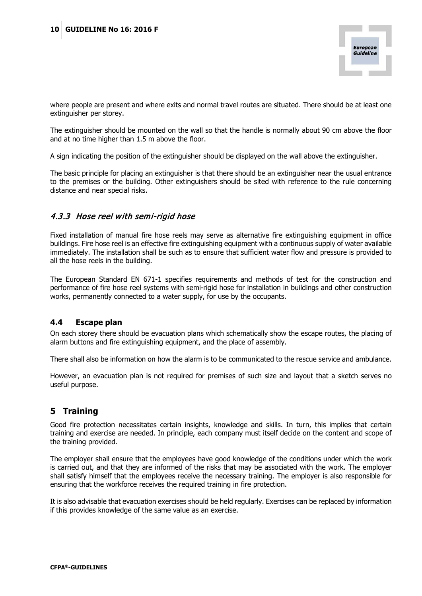

where people are present and where exits and normal travel routes are situated. There should be at least one extinguisher per storey.

The extinguisher should be mounted on the wall so that the handle is normally about 90 cm above the floor and at no time higher than 1.5 m above the floor.

A sign indicating the position of the extinguisher should be displayed on the wall above the extinguisher.

The basic principle for placing an extinguisher is that there should be an extinguisher near the usual entrance to the premises or the building. Other extinguishers should be sited with reference to the rule concerning distance and near special risks.

#### <span id="page-9-0"></span>4.3.3 Hose reel with semi-rigid hose

Fixed installation of manual fire hose reels may serve as alternative fire extinguishing equipment in office buildings. Fire hose reel is an effective fire extinguishing equipment with a continuous supply of water available immediately. The installation shall be such as to ensure that sufficient water flow and pressure is provided to all the hose reels in the building.

The European Standard EN 671-1 specifies requirements and methods of test for the construction and performance of fire hose reel systems with semi-rigid hose for installation in buildings and other construction works, permanently connected to a water supply, for use by the occupants.

#### <span id="page-9-1"></span>**4.4 Escape plan**

On each storey there should be evacuation plans which schematically show the escape routes, the placing of alarm buttons and fire extinguishing equipment, and the place of assembly.

There shall also be information on how the alarm is to be communicated to the rescue service and ambulance.

<span id="page-9-2"></span>However, an evacuation plan is not required for premises of such size and layout that a sketch serves no useful purpose.

### **5 Training**

Good fire protection necessitates certain insights, knowledge and skills. In turn, this implies that certain training and exercise are needed. In principle, each company must itself decide on the content and scope of the training provided.

The employer shall ensure that the employees have good knowledge of the conditions under which the work is carried out, and that they are informed of the risks that may be associated with the work. The employer shall satisfy himself that the employees receive the necessary training. The employer is also responsible for ensuring that the workforce receives the required training in fire protection.

It is also advisable that evacuation exercises should be held regularly. Exercises can be replaced by information if this provides knowledge of the same value as an exercise.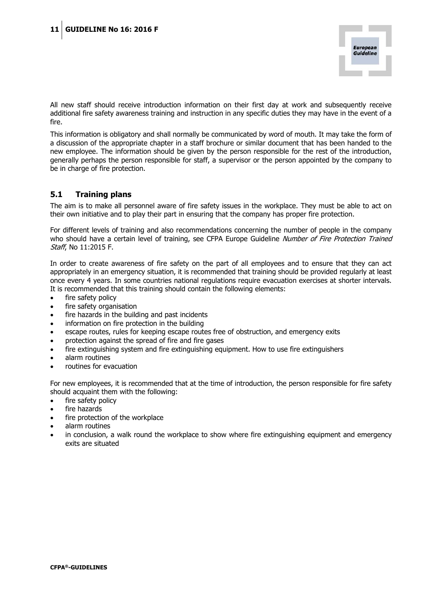

All new staff should receive introduction information on their first day at work and subsequently receive additional fire safety awareness training and instruction in any specific duties they may have in the event of a fire.

This information is obligatory and shall normally be communicated by word of mouth. It may take the form of a discussion of the appropriate chapter in a staff brochure or similar document that has been handed to the new employee. The information should be given by the person responsible for the rest of the introduction, generally perhaps the person responsible for staff, a supervisor or the person appointed by the company to be in charge of fire protection.

#### <span id="page-10-0"></span>**5.1 Training plans**

The aim is to make all personnel aware of fire safety issues in the workplace. They must be able to act on their own initiative and to play their part in ensuring that the company has proper fire protection.

For different levels of training and also recommendations concerning the number of people in the company who should have a certain level of training, see CFPA Europe Guideline Number of Fire Protection Trained Staff, No 11:2015 F.

In order to create awareness of fire safety on the part of all employees and to ensure that they can act appropriately in an emergency situation, it is recommended that training should be provided regularly at least once every 4 years. In some countries national regulations require evacuation exercises at shorter intervals. It is recommended that this training should contain the following elements:

- fire safety policy
- fire safety organisation
- fire hazards in the building and past incidents
- information on fire protection in the building
- escape routes, rules for keeping escape routes free of obstruction, and emergency exits
- protection against the spread of fire and fire gases
- fire extinguishing system and fire extinguishing equipment. How to use fire extinguishers
- alarm routines
- routines for evacuation

For new employees, it is recommended that at the time of introduction, the person responsible for fire safety should acquaint them with the following:

- fire safety policy
- fire hazards
- fire protection of the workplace
- alarm routines
- in conclusion, a walk round the workplace to show where fire extinguishing equipment and emergency exits are situated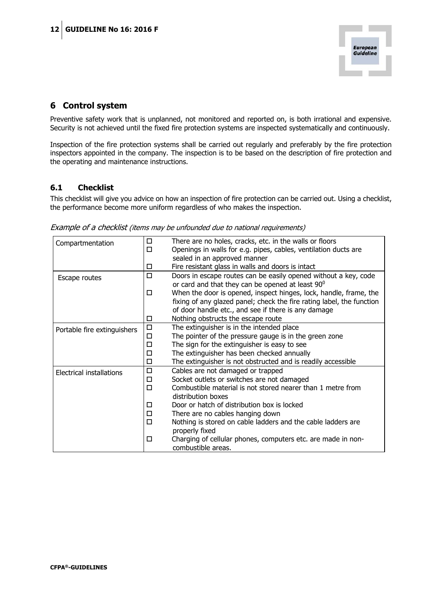## <span id="page-11-0"></span>**6 Control system**

Preventive safety work that is unplanned, not monitored and reported on, is both irrational and expensive. Security is not achieved until the fixed fire protection systems are inspected systematically and continuously.

Inspection of the fire protection systems shall be carried out regularly and preferably by the fire protection inspectors appointed in the company. The inspection is to be based on the description of fire protection and the operating and maintenance instructions.

#### <span id="page-11-1"></span>**6.1 Checklist**

This checklist will give you advice on how an inspection of fire protection can be carried out. Using a checklist, the performance become more uniform regardless of who makes the inspection.

| Compartmentation                | □      | There are no holes, cracks, etc. in the walls or floors                                                             |
|---------------------------------|--------|---------------------------------------------------------------------------------------------------------------------|
|                                 | $\Box$ | Openings in walls for e.g. pipes, cables, ventilation ducts are                                                     |
|                                 |        | sealed in an approved manner                                                                                        |
|                                 | □      | Fire resistant glass in walls and doors is intact                                                                   |
| Escape routes                   | □      | Doors in escape routes can be easily opened without a key, code<br>or card and that they can be opened at least 90° |
|                                 | $\Box$ | When the door is opened, inspect hinges, lock, handle, frame, the                                                   |
|                                 |        | fixing of any glazed panel; check the fire rating label, the function                                               |
|                                 |        | of door handle etc., and see if there is any damage                                                                 |
|                                 | □      | Nothing obstructs the escape route                                                                                  |
| Portable fire extinguishers     | $\Box$ | The extinguisher is in the intended place                                                                           |
|                                 | $\Box$ | The pointer of the pressure gauge is in the green zone                                                              |
|                                 | □      | The sign for the extinguisher is easy to see                                                                        |
|                                 | $\Box$ | The extinguisher has been checked annually                                                                          |
|                                 | $\Box$ | The extinguisher is not obstructed and is readily accessible                                                        |
| <b>Electrical installations</b> | $\Box$ | Cables are not damaged or trapped                                                                                   |
|                                 | 口      | Socket outlets or switches are not damaged                                                                          |
|                                 | $\Box$ | Combustible material is not stored nearer than 1 metre from                                                         |
|                                 |        | distribution boxes                                                                                                  |
|                                 | □      | Door or hatch of distribution box is locked                                                                         |
|                                 | □      | There are no cables hanging down                                                                                    |
|                                 | □      | Nothing is stored on cable ladders and the cable ladders are<br>properly fixed                                      |
|                                 | $\Box$ | Charging of cellular phones, computers etc. are made in non-<br>combustible areas.                                  |

Example of a checklist (items may be unfounded due to national requirements)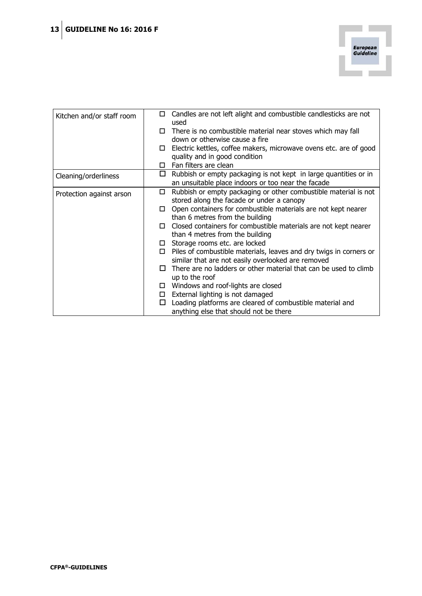

| Kitchen and/or staff room | 0      | Candles are not left alight and combustible candlesticks are not<br>used                                               |
|---------------------------|--------|------------------------------------------------------------------------------------------------------------------------|
|                           | □      | There is no combustible material near stoves which may fall                                                            |
|                           |        | down or otherwise cause a fire                                                                                         |
|                           | □      | Electric kettles, coffee makers, microwave ovens etc. are of good                                                      |
|                           |        | quality and in good condition                                                                                          |
|                           | П.     | Fan filters are clean                                                                                                  |
| Cleaning/orderliness      | $\Box$ | Rubbish or empty packaging is not kept in large quantities or in<br>an unsuitable place indoors or too near the facade |
| Protection against arson  | □      | Rubbish or empty packaging or other combustible material is not                                                        |
|                           |        | stored along the facade or under a canopy                                                                              |
|                           |        | Open containers for combustible materials are not kept nearer                                                          |
|                           |        | than 6 metres from the building                                                                                        |
|                           | П.     | Closed containers for combustible materials are not kept nearer                                                        |
|                           |        | than 4 metres from the building                                                                                        |
|                           |        | $\square$ Storage rooms etc. are locked                                                                                |
|                           |        | $\Box$ Piles of combustible materials, leaves and dry twigs in corners or                                              |
|                           |        | similar that are not easily overlooked are removed                                                                     |
|                           | П      | There are no ladders or other material that can be used to climb                                                       |
|                           |        | up to the roof                                                                                                         |
|                           |        | Windows and roof-lights are closed                                                                                     |
|                           |        | $\Box$ External lighting is not damaged                                                                                |
|                           | □      | Loading platforms are cleared of combustible material and                                                              |
|                           |        | anything else that should not be there                                                                                 |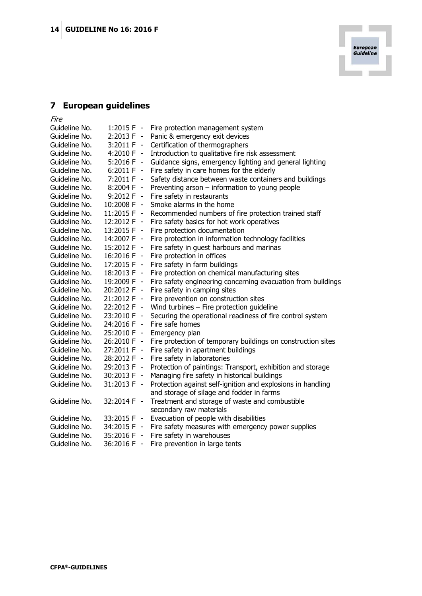# <span id="page-13-0"></span>**7 European guidelines**

| <i>Fire</i>   |                     |                                                              |
|---------------|---------------------|--------------------------------------------------------------|
| Guideline No. | $1:2015 F -$        | Fire protection management system                            |
| Guideline No. | $2:2013 F -$        | Panic & emergency exit devices                               |
| Guideline No. | $3:2011 F -$        | Certification of thermographers                              |
| Guideline No. | $4:2010 F -$        | Introduction to qualitative fire risk assessment             |
| Guideline No. | $5:2016 F -$        | Guidance signs, emergency lighting and general lighting      |
| Guideline No. | $6:2011 F -$        | Fire safety in care homes for the elderly                    |
| Guideline No. | $7:2011 F -$        | Safety distance between waste containers and buildings       |
| Guideline No. | 8:2004 F -          | Preventing arson $-$ information to young people             |
| Guideline No. | $9:2012 F -$        | Fire safety in restaurants                                   |
| Guideline No. | 10:2008 F -         | Smoke alarms in the home                                     |
| Guideline No. | 11:2015 F -         | Recommended numbers of fire protection trained staff         |
| Guideline No. | 12:2012 F -         | Fire safety basics for hot work operatives                   |
| Guideline No. | 13:2015 F -         | Fire protection documentation                                |
| Guideline No. | 14:2007 F -         | Fire protection in information technology facilities         |
| Guideline No. | 15:2012 F -         | Fire safety in guest harbours and marinas                    |
| Guideline No. | 16:2016 F -         | Fire protection in offices                                   |
| Guideline No. | 17:2015 F -         | Fire safety in farm buildings                                |
| Guideline No. | 18:2013 F -         | Fire protection on chemical manufacturing sites              |
| Guideline No. | 19:2009 F -         | Fire safety engineering concerning evacuation from buildings |
| Guideline No. | 20:2012 F -         | Fire safety in camping sites                                 |
| Guideline No. | 21:2012 F -         | Fire prevention on construction sites                        |
| Guideline No. | 22:2012 F -         | Wind turbines $-$ Fire protection guideline                  |
| Guideline No. | 23:2010 F -         | Securing the operational readiness of fire control system    |
| Guideline No. | 24:2016 F -         | Fire safe homes                                              |
| Guideline No. | 25:2010 F -         | Emergency plan                                               |
| Guideline No. | 26:2010 F -         | Fire protection of temporary buildings on construction sites |
| Guideline No. | 27:2011 F -         | Fire safety in apartment buildings                           |
| Guideline No. | 28:2012 F -         | Fire safety in laboratories                                  |
| Guideline No. | 29:2013 F -         | Protection of paintings: Transport, exhibition and storage   |
| Guideline No. | 30:2013 F -         | Managing fire safety in historical buildings                 |
| Guideline No. | 31:2013 F -         | Protection against self-ignition and explosions in handling  |
|               |                     | and storage of silage and fodder in farms                    |
| Guideline No. | 32:2014 F -         | Treatment and storage of waste and combustible               |
|               |                     | secondary raw materials                                      |
| Guideline No. | 33:2015 F<br>$\sim$ | Evacuation of people with disabilities                       |
| Guideline No. | 34:2015 F<br>$\sim$ | Fire safety measures with emergency power supplies           |
| Guideline No. | 35:2016 F -         | Fire safety in warehouses                                    |
| Guideline No. | $\sim$<br>36:2016 F | Fire prevention in large tents                               |

٠

**European<br>Guideline**